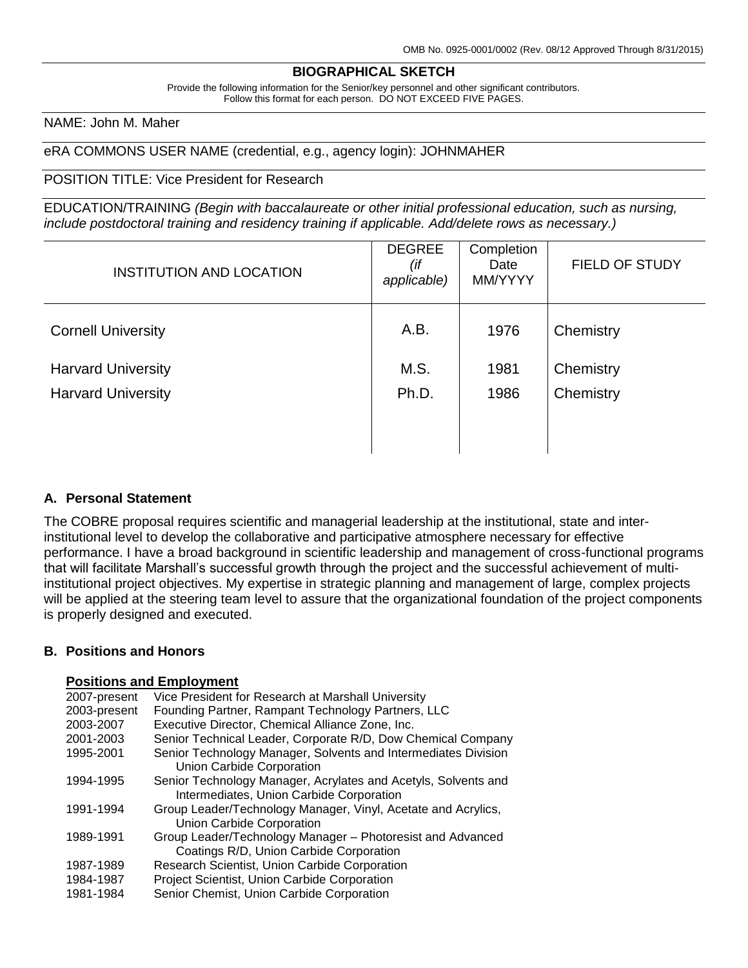### **BIOGRAPHICAL SKETCH**

Provide the following information for the Senior/key personnel and other significant contributors. Follow this format for each person. DO NOT EXCEED FIVE PAGES.

NAME: John M. Maher

eRA COMMONS USER NAME (credential, e.g., agency login): JOHNMAHER

#### POSITION TITLE: Vice President for Research

EDUCATION/TRAINING *(Begin with baccalaureate or other initial professional education, such as nursing, include postdoctoral training and residency training if applicable. Add/delete rows as necessary.)*

| INSTITUTION AND LOCATION  | <b>DEGREE</b><br>(if<br>applicable) | Completion<br>Date<br>MM/YYYY | FIELD OF STUDY |
|---------------------------|-------------------------------------|-------------------------------|----------------|
| <b>Cornell University</b> | A.B.                                | 1976                          | Chemistry      |
| <b>Harvard University</b> | M.S.                                | 1981                          | Chemistry      |
| <b>Harvard University</b> | Ph.D.                               | 1986                          | Chemistry      |
|                           |                                     |                               |                |
|                           |                                     |                               |                |

# **A. Personal Statement**

The COBRE proposal requires scientific and managerial leadership at the institutional, state and interinstitutional level to develop the collaborative and participative atmosphere necessary for effective performance. I have a broad background in scientific leadership and management of cross-functional programs that will facilitate Marshall's successful growth through the project and the successful achievement of multiinstitutional project objectives. My expertise in strategic planning and management of large, complex projects will be applied at the steering team level to assure that the organizational foundation of the project components is properly designed and executed.

#### **B. Positions and Honors**

## **Positions and Employment**

| 2007-present | Vice President for Research at Marshall University             |
|--------------|----------------------------------------------------------------|
| 2003-present | Founding Partner, Rampant Technology Partners, LLC             |
| 2003-2007    | Executive Director, Chemical Alliance Zone, Inc.               |
| 2001-2003    | Senior Technical Leader, Corporate R/D, Dow Chemical Company   |
| 1995-2001    | Senior Technology Manager, Solvents and Intermediates Division |
|              | Union Carbide Corporation                                      |
| 1994-1995    | Senior Technology Manager, Acrylates and Acetyls, Solvents and |
|              | Intermediates, Union Carbide Corporation                       |
| 1991-1994    | Group Leader/Technology Manager, Vinyl, Acetate and Acrylics,  |
|              | Union Carbide Corporation                                      |
| 1989-1991    | Group Leader/Technology Manager - Photoresist and Advanced     |
|              | Coatings R/D, Union Carbide Corporation                        |
| 1987-1989    | Research Scientist, Union Carbide Corporation                  |
| 1984-1987    | Project Scientist, Union Carbide Corporation                   |
| 1981-1984    | Senior Chemist, Union Carbide Corporation                      |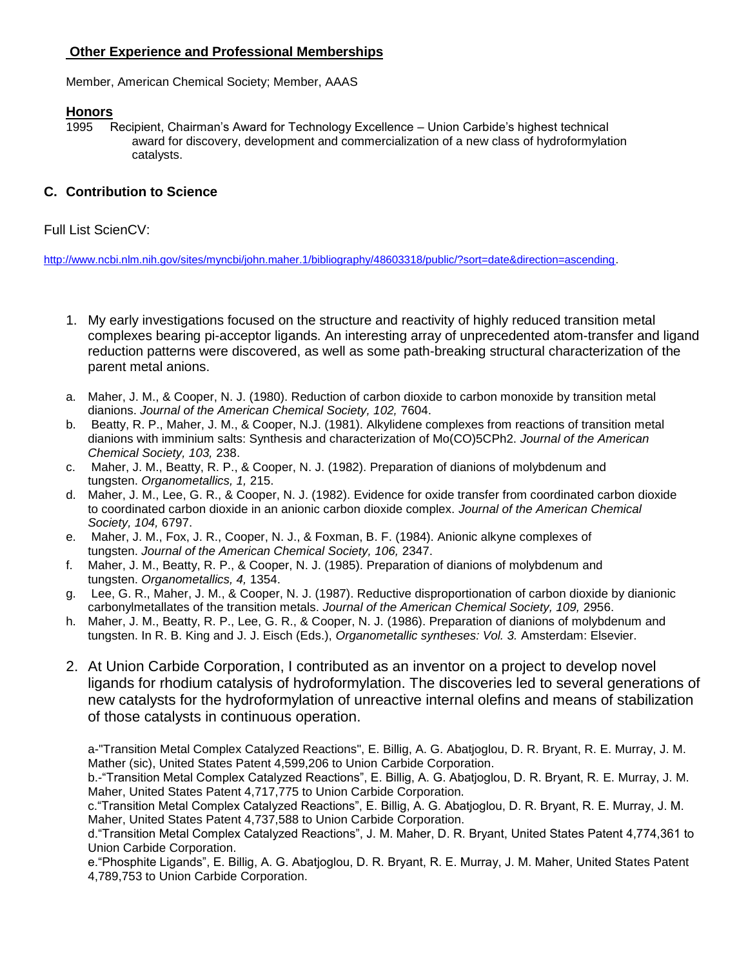# **Other Experience and Professional Memberships**

Member, American Chemical Society; Member, AAAS

# **Honors**

1995 Recipient, Chairman's Award for Technology Excellence – Union Carbide's highest technical award for discovery, development and commercialization of a new class of hydroformylation catalysts.

# **C. Contribution to Science**

Full List ScienCV:

[http://www.ncbi.nlm.nih.gov/sites/myncbi/john.maher.1/bibliography/48603318/public/?sort=date&direction=ascending.](http://www.ncbi.nlm.nih.gov/sites/myncbi/john.maher.1/bibliography/48603318/public/?sort=date&direction=ascending)

- 1. My early investigations focused on the structure and reactivity of highly reduced transition metal complexes bearing pi-acceptor ligands. An interesting array of unprecedented atom-transfer and ligand reduction patterns were discovered, as well as some path-breaking structural characterization of the parent metal anions.
- a. Maher, J. M., & Cooper, N. J. (1980). Reduction of carbon dioxide to carbon monoxide by transition metal dianions. *Journal of the American Chemical Society, 102,* 7604.
- b. Beatty, R. P., Maher, J. M., & Cooper, N.J. (1981). Alkylidene complexes from reactions of transition metal dianions with imminium salts: Synthesis and characterization of Mo(CO)5CPh2. *Journal of the American Chemical Society, 103,* 238.
- c. Maher, J. M., Beatty, R. P., & Cooper, N. J. (1982). Preparation of dianions of molybdenum and tungsten. *Organometallics, 1,* 215.
- d. Maher, J. M., Lee, G. R., & Cooper, N. J. (1982). Evidence for oxide transfer from coordinated carbon dioxide to coordinated carbon dioxide in an anionic carbon dioxide complex. *Journal of the American Chemical Society, 104,* 6797.
- e. Maher, J. M., Fox, J. R., Cooper, N. J., & Foxman, B. F. (1984). Anionic alkyne complexes of tungsten. *Journal of the American Chemical Society, 106, 2347.*
- f. Maher, J. M., Beatty, R. P., & Cooper, N. J. (1985). Preparation of dianions of molybdenum and tungsten. *Organometallics, 4,* 1354.
- g. Lee, G. R., Maher, J. M., & Cooper, N. J. (1987). Reductive disproportionation of carbon dioxide by dianionic carbonylmetallates of the transition metals. *Journal of the American Chemical Society, 109,* 2956.
- h. Maher, J. M., Beatty, R. P., Lee, G. R., & Cooper, N. J. (1986). Preparation of dianions of molybdenum and tungsten. In R. B. King and J. J. Eisch (Eds.), *Organometallic syntheses: Vol. 3.* Amsterdam: Elsevier.
- 2. At Union Carbide Corporation, I contributed as an inventor on a project to develop novel ligands for rhodium catalysis of hydroformylation. The discoveries led to several generations of new catalysts for the hydroformylation of unreactive internal olefins and means of stabilization of those catalysts in continuous operation.

a-"Transition Metal Complex Catalyzed Reactions", E. Billig, A. G. Abatjoglou, D. R. Bryant, R. E. Murray, J. M. Mather (sic), United States Patent 4,599,206 to Union Carbide Corporation.

b.-"Transition Metal Complex Catalyzed Reactions", E. Billig, A. G. Abatjoglou, D. R. Bryant, R. E. Murray, J. M. Maher, United States Patent 4,717,775 to Union Carbide Corporation.

c."Transition Metal Complex Catalyzed Reactions", E. Billig, A. G. Abatjoglou, D. R. Bryant, R. E. Murray, J. M. Maher, United States Patent 4,737,588 to Union Carbide Corporation.

d."Transition Metal Complex Catalyzed Reactions", J. M. Maher, D. R. Bryant, United States Patent 4,774,361 to Union Carbide Corporation.

e."Phosphite Ligands", E. Billig, A. G. Abatjoglou, D. R. Bryant, R. E. Murray, J. M. Maher, United States Patent 4,789,753 to Union Carbide Corporation.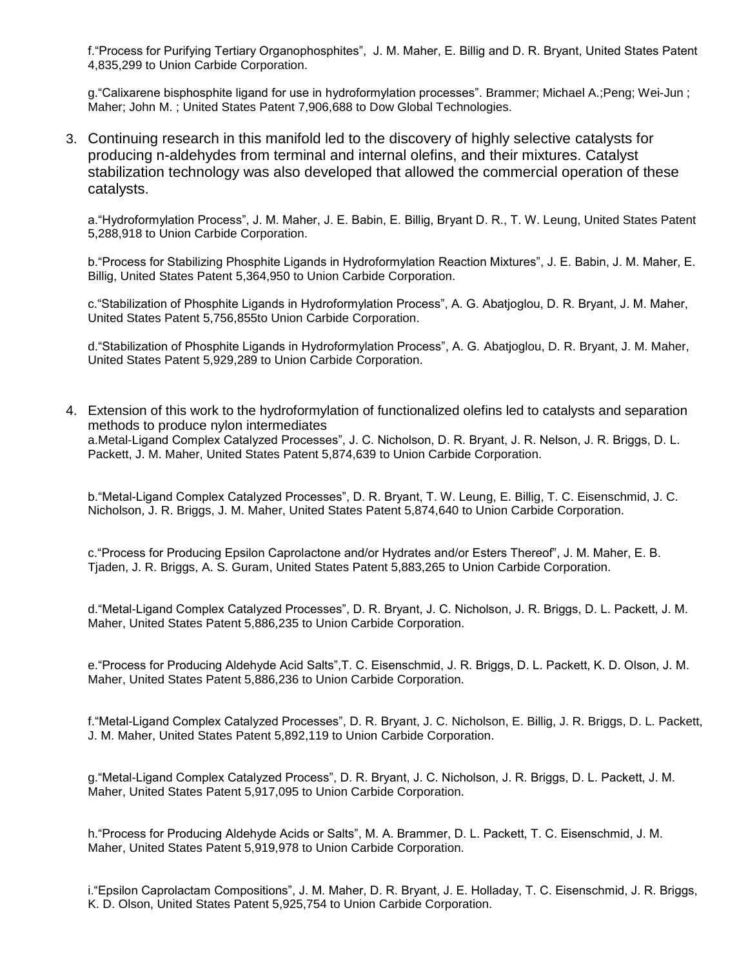f."Process for Purifying Tertiary Organophosphites", J. M. Maher, E. Billig and D. R. Bryant, United States Patent 4,835,299 to Union Carbide Corporation.

g."Calixarene bisphosphite ligand for use in hydroformylation processes". Brammer; Michael A.;Peng; Wei-Jun ; Maher; John M. ; United States Patent 7,906,688 to Dow Global Technologies.

3. Continuing research in this manifold led to the discovery of highly selective catalysts for producing n-aldehydes from terminal and internal olefins, and their mixtures. Catalyst stabilization technology was also developed that allowed the commercial operation of these catalysts.

a."Hydroformylation Process", J. M. Maher, J. E. Babin, E. Billig, Bryant D. R., T. W. Leung, United States Patent 5,288,918 to Union Carbide Corporation.

b."Process for Stabilizing Phosphite Ligands in Hydroformylation Reaction Mixtures", J. E. Babin, J. M. Maher, E. Billig, United States Patent 5,364,950 to Union Carbide Corporation.

c."Stabilization of Phosphite Ligands in Hydroformylation Process", A. G. Abatjoglou, D. R. Bryant, J. M. Maher, United States Patent 5,756,855to Union Carbide Corporation.

d."Stabilization of Phosphite Ligands in Hydroformylation Process", A. G. Abatjoglou, D. R. Bryant, J. M. Maher, United States Patent 5,929,289 to Union Carbide Corporation.

4. Extension of this work to the hydroformylation of functionalized olefins led to catalysts and separation methods to produce nylon intermediates a.Metal-Ligand Complex Catalyzed Processes", J. C. Nicholson, D. R. Bryant, J. R. Nelson, J. R. Briggs, D. L. Packett, J. M. Maher, United States Patent 5,874,639 to Union Carbide Corporation.

b."Metal-Ligand Complex Catalyzed Processes", D. R. Bryant, T. W. Leung, E. Billig, T. C. Eisenschmid, J. C. Nicholson, J. R. Briggs, J. M. Maher, United States Patent 5,874,640 to Union Carbide Corporation.

c."Process for Producing Epsilon Caprolactone and/or Hydrates and/or Esters Thereof", J. M. Maher, E. B. Tjaden, J. R. Briggs, A. S. Guram, United States Patent 5,883,265 to Union Carbide Corporation.

d."Metal-Ligand Complex Catalyzed Processes", D. R. Bryant, J. C. Nicholson, J. R. Briggs, D. L. Packett, J. M. Maher, United States Patent 5,886,235 to Union Carbide Corporation.

e."Process for Producing Aldehyde Acid Salts",T. C. Eisenschmid, J. R. Briggs, D. L. Packett, K. D. Olson, J. M. Maher, United States Patent 5,886,236 to Union Carbide Corporation.

f."Metal-Ligand Complex Catalyzed Processes", D. R. Bryant, J. C. Nicholson, E. Billig, J. R. Briggs, D. L. Packett, J. M. Maher, United States Patent 5,892,119 to Union Carbide Corporation.

g."Metal-Ligand Complex Catalyzed Process", D. R. Bryant, J. C. Nicholson, J. R. Briggs, D. L. Packett, J. M. Maher, United States Patent 5,917,095 to Union Carbide Corporation.

h."Process for Producing Aldehyde Acids or Salts", M. A. Brammer, D. L. Packett, T. C. Eisenschmid, J. M. Maher, United States Patent 5,919,978 to Union Carbide Corporation.

i."Epsilon Caprolactam Compositions", J. M. Maher, D. R. Bryant, J. E. Holladay, T. C. Eisenschmid, J. R. Briggs, K. D. Olson, United States Patent 5,925,754 to Union Carbide Corporation.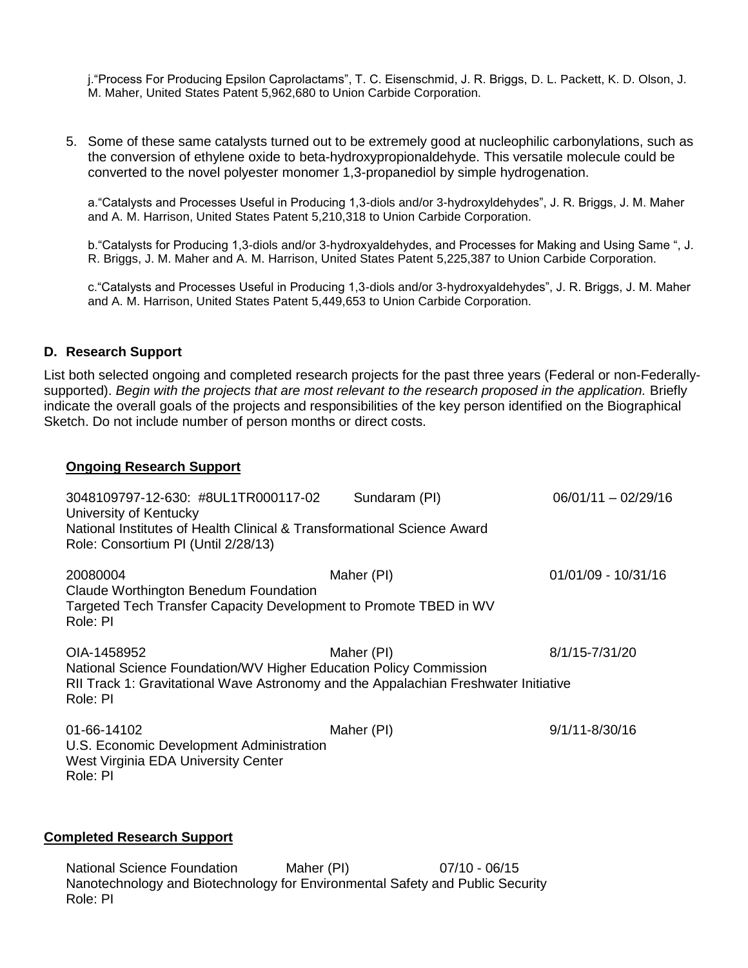j."Process For Producing Epsilon Caprolactams", T. C. Eisenschmid, J. R. Briggs, D. L. Packett, K. D. Olson, J. M. Maher, United States Patent 5,962,680 to Union Carbide Corporation.

5. Some of these same catalysts turned out to be extremely good at nucleophilic carbonylations, such as the conversion of ethylene oxide to beta-hydroxypropionaldehyde. This versatile molecule could be converted to the novel polyester monomer 1,3-propanediol by simple hydrogenation.

a."Catalysts and Processes Useful in Producing 1,3-diols and/or 3-hydroxyldehydes", J. R. Briggs, J. M. Maher and A. M. Harrison, United States Patent 5,210,318 to Union Carbide Corporation.

b."Catalysts for Producing 1,3-diols and/or 3-hydroxyaldehydes, and Processes for Making and Using Same ", J. R. Briggs, J. M. Maher and A. M. Harrison, United States Patent 5,225,387 to Union Carbide Corporation.

c."Catalysts and Processes Useful in Producing 1,3-diols and/or 3-hydroxyaldehydes", J. R. Briggs, J. M. Maher and A. M. Harrison, United States Patent 5,449,653 to Union Carbide Corporation.

# **D. Research Support**

List both selected ongoing and completed research projects for the past three years (Federal or non-Federallysupported). *Begin with the projects that are most relevant to the research proposed in the application.* Briefly indicate the overall goals of the projects and responsibilities of the key person identified on the Biographical Sketch. Do not include number of person months or direct costs.

## **Ongoing Research Support**

| 3048109797-12-630: #8UL1TR000117-02<br>University of Kentucky<br>National Institutes of Health Clinical & Transformational Science Award<br>Role: Consortium PI (Until 2/28/13)     | Sundaram (PI) | $06/01/11 - 02/29/16$ |
|-------------------------------------------------------------------------------------------------------------------------------------------------------------------------------------|---------------|-----------------------|
| 20080004<br>Claude Worthington Benedum Foundation<br>Targeted Tech Transfer Capacity Development to Promote TBED in WV<br>Role: PI                                                  | Maher (PI)    | 01/01/09 - 10/31/16   |
| OIA-1458952<br>National Science Foundation/WV Higher Education Policy Commission<br>RII Track 1: Gravitational Wave Astronomy and the Appalachian Freshwater Initiative<br>Role: PI | Maher (PI)    | 8/1/15-7/31/20        |
| 01-66-14102<br>U.S. Economic Development Administration<br>West Virginia EDA University Center<br>Role: PI                                                                          | Maher (PI)    | 9/1/11-8/30/16        |

# **Completed Research Support**

National Science Foundation Maher (PI) 07/10 - 06/15 Nanotechnology and Biotechnology for Environmental Safety and Public Security Role: PI